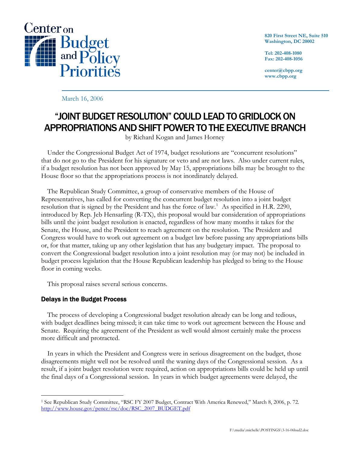

**820 First Street NE, Suite 510 Washington, DC 20002** 

**Tel: 202-408-1080 Fax: 202-408-1056** 

**center@cbpp.org www.cbpp.org** 

March 16, 2006

## "JOINT BUDGET RESOLUTION" COULD LEAD TO GRIDLOCK ON APPROPRIATIONS AND SHIFT POWER TO THE EXECUTIVE BRANCH

by Richard Kogan and James Horney

 Under the Congressional Budget Act of 1974, budget resolutions are "concurrent resolutions" that do not go to the President for his signature or veto and are not laws. Also under current rules, if a budget resolution has not been approved by May 15, appropriations bills may be brought to the House floor so that the appropriations process is not inordinately delayed.

 The Republican Study Committee, a group of conservative members of the House of Representatives, has called for converting the concurrent budget resolution into a joint budget resolution that is signed by the President and has the force of law.<sup>[1](#page-0-0)</sup> As specified in H.R. 2290, introduced by Rep. Jeb Hensarling (R-TX), this proposal would bar consideration of appropriations bills until the joint budget resolution is enacted, regardless of how many months it takes for the Senate, the House, and the President to reach agreement on the resolution. The President and Congress would have to work out agreement on a budget law before passing any appropriations bills or, for that matter, taking up any other legislation that has any budgetary impact. The proposal to convert the Congressional budget resolution into a joint resolution may (or may not) be included in budget process legislation that the House Republican leadership has pledged to bring to the House floor in coming weeks.

This proposal raises several serious concerns.

## Delays in the Budget Process

 The process of developing a Congressional budget resolution already can be long and tedious, with budget deadlines being missed; it can take time to work out agreement between the House and Senate. Requiring the agreement of the President as well would almost certainly make the process more difficult and protracted.

 In years in which the President and Congress were in serious disagreement on the budget, those disagreements might well not be resolved until the waning days of the Congressional session. As a result, if a joint budget resolution were required, action on appropriations bills could be held up until the final days of a Congressional session. In years in which budget agreements were delayed, the

<span id="page-0-0"></span> $\overline{a}$ 1 See Republican Study Committee, "RSC FY 2007 Budget, Contract With America Renewed," March 8, 2006, p. 72. [http://www.house.gov/pence/rsc/doc/RSC\\_2007\\_BUDGET.pdf](http://www.house.gov/pence/rsc/doc/RSC_2007_BUDGET.pdf)